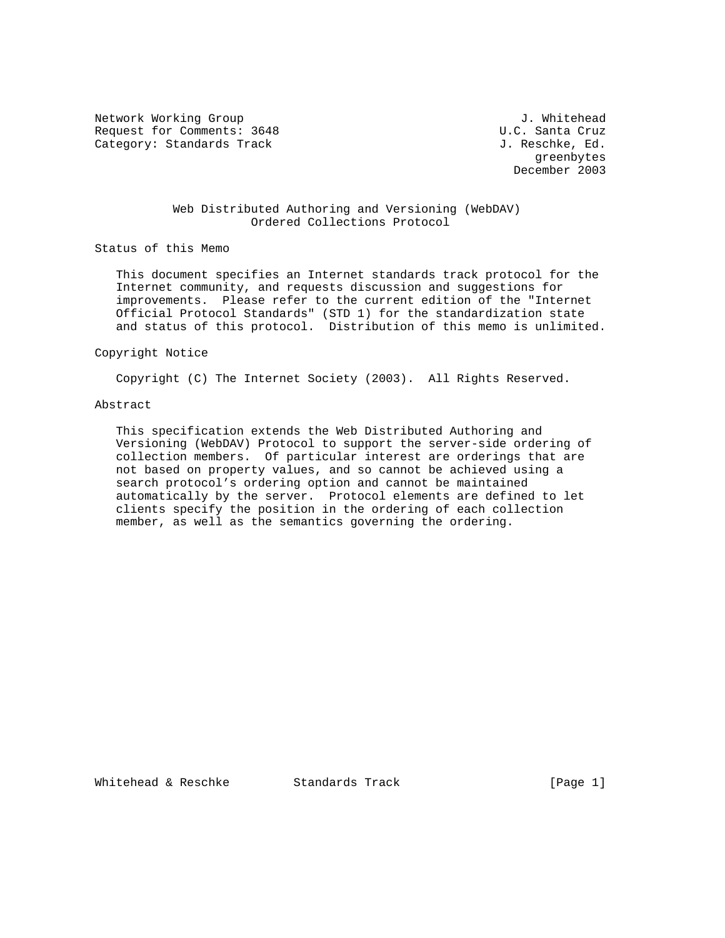Network Working Group and the set of the set of the set of the set of the set of the set of the set of the set o Request for Comments: 3648 U.C. Santa Cruz Category: Standards Track Gategory: Standards Track Gategory: Standards Track Gategory: Standards Track Gategory

 greenbytes December 2003

## Web Distributed Authoring and Versioning (WebDAV) Ordered Collections Protocol

Status of this Memo

 This document specifies an Internet standards track protocol for the Internet community, and requests discussion and suggestions for improvements. Please refer to the current edition of the "Internet Official Protocol Standards" (STD 1) for the standardization state and status of this protocol. Distribution of this memo is unlimited.

#### Copyright Notice

Copyright (C) The Internet Society (2003). All Rights Reserved.

# Abstract

 This specification extends the Web Distributed Authoring and Versioning (WebDAV) Protocol to support the server-side ordering of collection members. Of particular interest are orderings that are not based on property values, and so cannot be achieved using a search protocol's ordering option and cannot be maintained automatically by the server. Protocol elements are defined to let clients specify the position in the ordering of each collection member, as well as the semantics governing the ordering.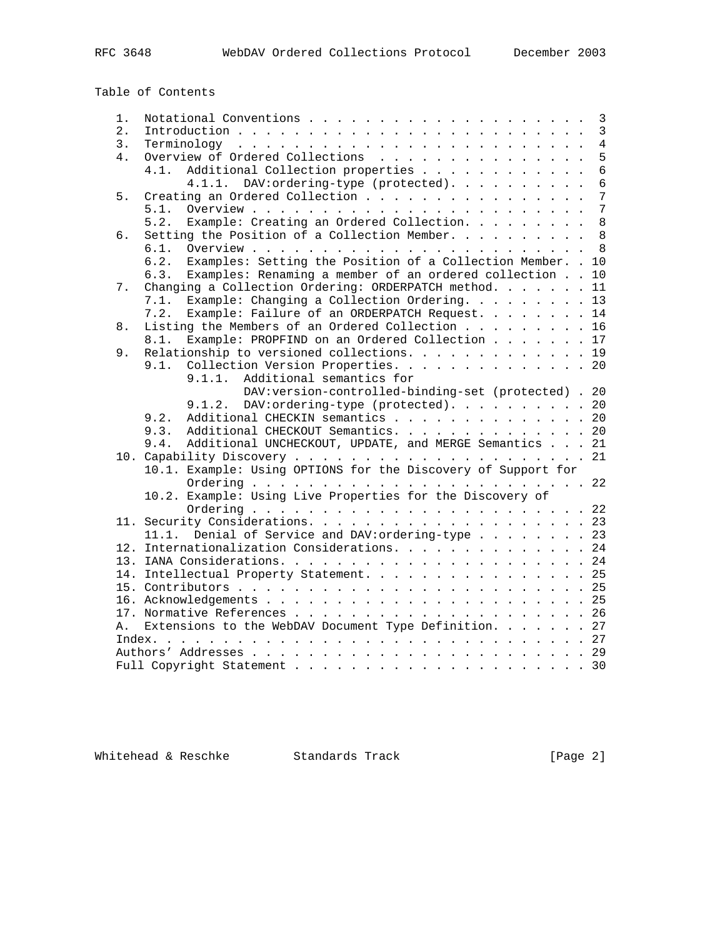Table of Contents

| 1. |                                                                        | $\mathbf{3}$   |
|----|------------------------------------------------------------------------|----------------|
| 2. |                                                                        | $\overline{3}$ |
| 3. |                                                                        | $\overline{4}$ |
| 4. | Overview of Ordered Collections                                        | 5              |
|    | Additional Collection properties<br>4.1.                               | $6\phantom{1}$ |
|    | 4.1.1. DAV: ordering-type (protected).                                 | $6\phantom{1}$ |
| 5. | Creating an Ordered Collection                                         | $\overline{7}$ |
|    | 5.1.                                                                   | $\overline{7}$ |
|    | Example: Creating an Ordered Collection.<br>5.2.                       | 8              |
| 6. | Setting the Position of a Collection Member.                           | 8              |
|    | 6.1.                                                                   | 8              |
|    | Examples: Setting the Position of a Collection Member. .<br>6.2.<br>10 |                |
|    | Examples: Renaming a member of an ordered collection<br>10<br>6.3.     |                |
| 7. | Changing a Collection Ordering: ORDERPATCH method.<br>11               |                |
|    | Example: Changing a Collection Ordering. 13<br>7.1.                    |                |
|    | Example: Failure of an ORDERPATCH Request. 14<br>7.2.                  |                |
| 8. | Listing the Members of an Ordered Collection 16                        |                |
|    | Example: PROPFIND on an Ordered Collection 17<br>8.1.                  |                |
| 9. | Relationship to versioned collections. 19                              |                |
|    | Collection Version Properties. 20<br>9.1.                              |                |
|    | Additional semantics for<br>9.1.1.                                     |                |
|    | DAV: version-controlled-binding-set (protected) . 20                   |                |
|    | DAV:ordering-type (protected). 20<br>9.1.2.                            |                |
|    | Additional CHECKIN semantics 20<br>9.2.                                |                |
|    | 9.3.<br>Additional CHECKOUT Semantics. 20                              |                |
|    | Additional UNCHECKOUT, UPDATE, and MERGE Semantics 21<br>9.4.          |                |
|    |                                                                        |                |
|    | 10.1. Example: Using OPTIONS for the Discovery of Support for          |                |
|    |                                                                        |                |
|    | 10.2. Example: Using Live Properties for the Discovery of              |                |
|    |                                                                        |                |
|    |                                                                        |                |
|    | 11.1. Denial of Service and DAV: ordering-type 23                      |                |
|    | 12. Internationalization Considerations. 24                            |                |
|    |                                                                        |                |
|    |                                                                        |                |
|    | 14. Intellectual Property Statement. 25                                |                |
|    |                                                                        |                |
|    |                                                                        |                |
|    |                                                                        |                |
| Α. | Extensions to the WebDAV Document Type Definition. 27                  |                |
|    |                                                                        |                |
|    |                                                                        |                |
|    |                                                                        |                |

Whitehead & Reschke Standards Track (Page 2)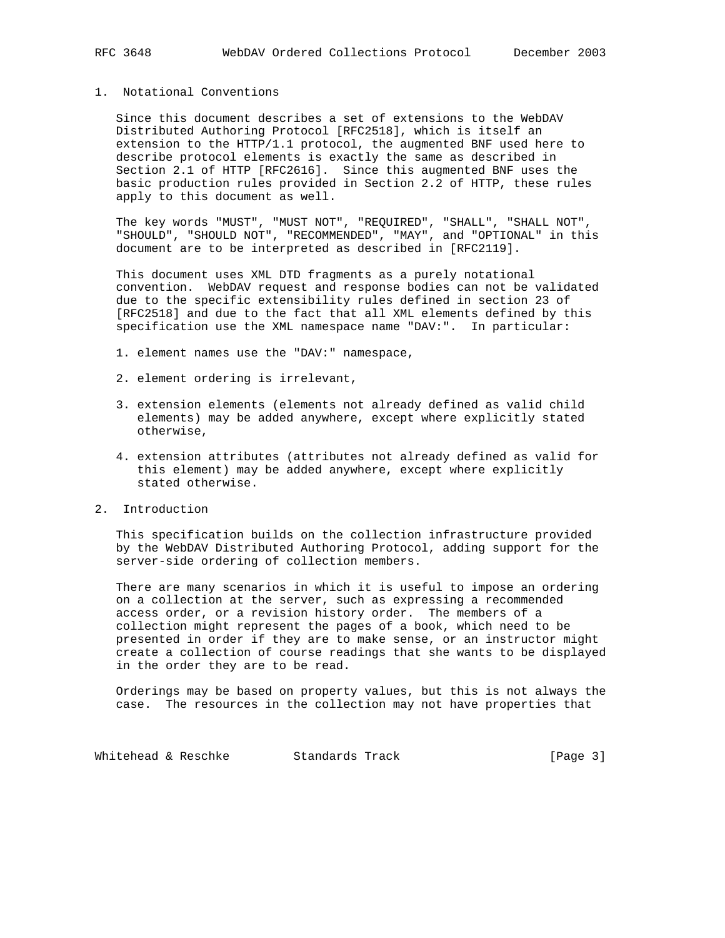#### 1. Notational Conventions

 Since this document describes a set of extensions to the WebDAV Distributed Authoring Protocol [RFC2518], which is itself an extension to the HTTP/1.1 protocol, the augmented BNF used here to describe protocol elements is exactly the same as described in Section 2.1 of HTTP [RFC2616]. Since this augmented BNF uses the basic production rules provided in Section 2.2 of HTTP, these rules apply to this document as well.

 The key words "MUST", "MUST NOT", "REQUIRED", "SHALL", "SHALL NOT", "SHOULD", "SHOULD NOT", "RECOMMENDED", "MAY", and "OPTIONAL" in this document are to be interpreted as described in [RFC2119].

 This document uses XML DTD fragments as a purely notational convention. WebDAV request and response bodies can not be validated due to the specific extensibility rules defined in section 23 of [RFC2518] and due to the fact that all XML elements defined by this specification use the XML namespace name "DAV:". In particular:

- 1. element names use the "DAV:" namespace,
- 2. element ordering is irrelevant,
- 3. extension elements (elements not already defined as valid child elements) may be added anywhere, except where explicitly stated otherwise,
- 4. extension attributes (attributes not already defined as valid for this element) may be added anywhere, except where explicitly stated otherwise.
- 2. Introduction

 This specification builds on the collection infrastructure provided by the WebDAV Distributed Authoring Protocol, adding support for the server-side ordering of collection members.

 There are many scenarios in which it is useful to impose an ordering on a collection at the server, such as expressing a recommended access order, or a revision history order. The members of a collection might represent the pages of a book, which need to be presented in order if they are to make sense, or an instructor might create a collection of course readings that she wants to be displayed in the order they are to be read.

 Orderings may be based on property values, but this is not always the case. The resources in the collection may not have properties that

Whitehead & Reschke Standards Track [Page 3]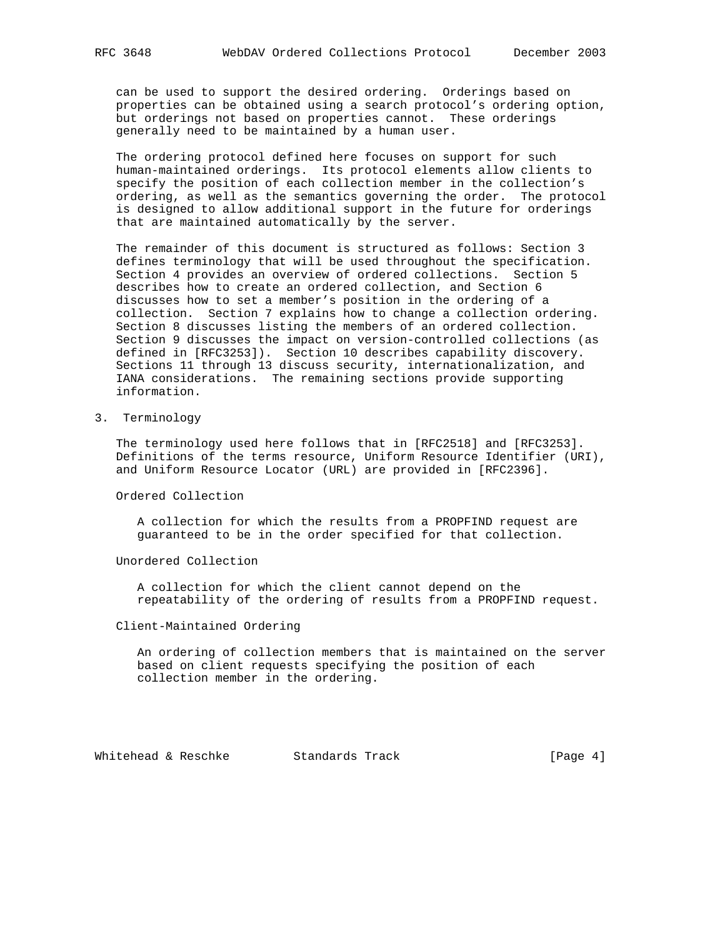can be used to support the desired ordering. Orderings based on properties can be obtained using a search protocol's ordering option, but orderings not based on properties cannot. These orderings generally need to be maintained by a human user.

 The ordering protocol defined here focuses on support for such human-maintained orderings. Its protocol elements allow clients to specify the position of each collection member in the collection's ordering, as well as the semantics governing the order. The protocol is designed to allow additional support in the future for orderings that are maintained automatically by the server.

 The remainder of this document is structured as follows: Section 3 defines terminology that will be used throughout the specification. Section 4 provides an overview of ordered collections. Section 5 describes how to create an ordered collection, and Section 6 discusses how to set a member's position in the ordering of a collection. Section 7 explains how to change a collection ordering. Section 8 discusses listing the members of an ordered collection. Section 9 discusses the impact on version-controlled collections (as defined in [RFC3253]). Section 10 describes capability discovery. Sections 11 through 13 discuss security, internationalization, and IANA considerations. The remaining sections provide supporting information.

3. Terminology

 The terminology used here follows that in [RFC2518] and [RFC3253]. Definitions of the terms resource, Uniform Resource Identifier (URI), and Uniform Resource Locator (URL) are provided in [RFC2396].

Ordered Collection

 A collection for which the results from a PROPFIND request are guaranteed to be in the order specified for that collection.

Unordered Collection

 A collection for which the client cannot depend on the repeatability of the ordering of results from a PROPFIND request.

## Client-Maintained Ordering

 An ordering of collection members that is maintained on the server based on client requests specifying the position of each collection member in the ordering.

Whitehead & Reschke Standards Track [Page 4]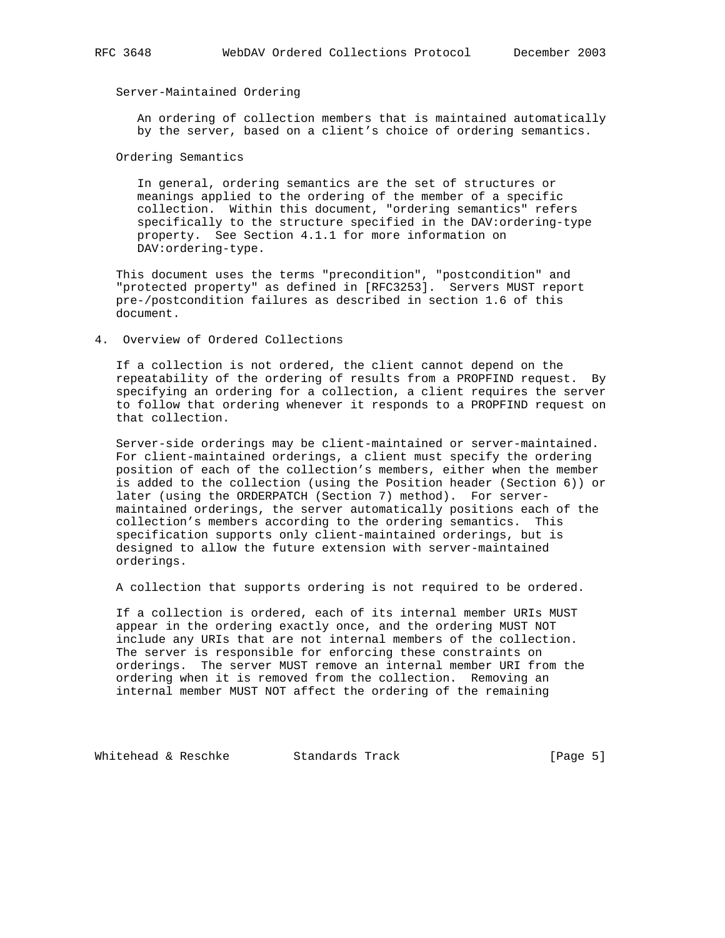## Server-Maintained Ordering

 An ordering of collection members that is maintained automatically by the server, based on a client's choice of ordering semantics.

Ordering Semantics

 In general, ordering semantics are the set of structures or meanings applied to the ordering of the member of a specific collection. Within this document, "ordering semantics" refers specifically to the structure specified in the DAV:ordering-type property. See Section 4.1.1 for more information on DAV:ordering-type.

 This document uses the terms "precondition", "postcondition" and "protected property" as defined in [RFC3253]. Servers MUST report pre-/postcondition failures as described in section 1.6 of this document.

4. Overview of Ordered Collections

 If a collection is not ordered, the client cannot depend on the repeatability of the ordering of results from a PROPFIND request. By specifying an ordering for a collection, a client requires the server to follow that ordering whenever it responds to a PROPFIND request on that collection.

 Server-side orderings may be client-maintained or server-maintained. For client-maintained orderings, a client must specify the ordering position of each of the collection's members, either when the member is added to the collection (using the Position header (Section 6)) or later (using the ORDERPATCH (Section 7) method). For server maintained orderings, the server automatically positions each of the collection's members according to the ordering semantics. This specification supports only client-maintained orderings, but is designed to allow the future extension with server-maintained orderings.

A collection that supports ordering is not required to be ordered.

 If a collection is ordered, each of its internal member URIs MUST appear in the ordering exactly once, and the ordering MUST NOT include any URIs that are not internal members of the collection. The server is responsible for enforcing these constraints on orderings. The server MUST remove an internal member URI from the ordering when it is removed from the collection. Removing an internal member MUST NOT affect the ordering of the remaining

Whitehead & Reschke Standards Track [Page 5]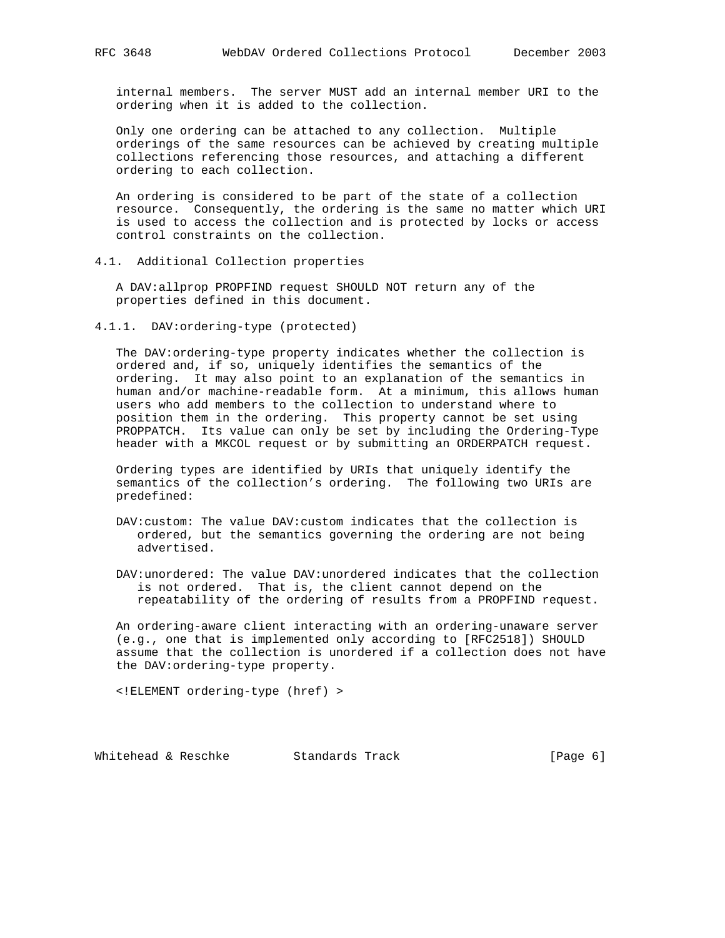internal members. The server MUST add an internal member URI to the ordering when it is added to the collection.

 Only one ordering can be attached to any collection. Multiple orderings of the same resources can be achieved by creating multiple collections referencing those resources, and attaching a different ordering to each collection.

 An ordering is considered to be part of the state of a collection resource. Consequently, the ordering is the same no matter which URI is used to access the collection and is protected by locks or access control constraints on the collection.

4.1. Additional Collection properties

 A DAV:allprop PROPFIND request SHOULD NOT return any of the properties defined in this document.

4.1.1. DAV:ordering-type (protected)

 The DAV:ordering-type property indicates whether the collection is ordered and, if so, uniquely identifies the semantics of the ordering. It may also point to an explanation of the semantics in human and/or machine-readable form. At a minimum, this allows human users who add members to the collection to understand where to position them in the ordering. This property cannot be set using PROPPATCH. Its value can only be set by including the Ordering-Type header with a MKCOL request or by submitting an ORDERPATCH request.

 Ordering types are identified by URIs that uniquely identify the semantics of the collection's ordering. The following two URIs are predefined:

- DAV:custom: The value DAV:custom indicates that the collection is ordered, but the semantics governing the ordering are not being advertised.
- DAV:unordered: The value DAV:unordered indicates that the collection is not ordered. That is, the client cannot depend on the repeatability of the ordering of results from a PROPFIND request.

 An ordering-aware client interacting with an ordering-unaware server (e.g., one that is implemented only according to [RFC2518]) SHOULD assume that the collection is unordered if a collection does not have the DAV:ordering-type property.

<!ELEMENT ordering-type (href) >

Whitehead & Reschke Standards Track [Page 6]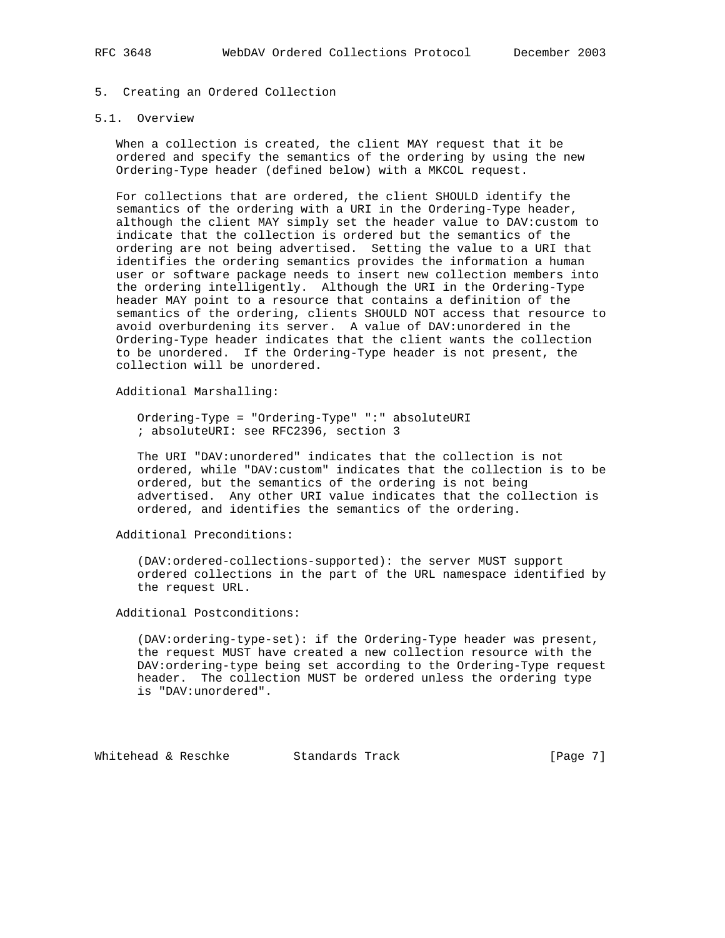# 5. Creating an Ordered Collection

## 5.1. Overview

 When a collection is created, the client MAY request that it be ordered and specify the semantics of the ordering by using the new Ordering-Type header (defined below) with a MKCOL request.

 For collections that are ordered, the client SHOULD identify the semantics of the ordering with a URI in the Ordering-Type header, although the client MAY simply set the header value to DAV:custom to indicate that the collection is ordered but the semantics of the ordering are not being advertised. Setting the value to a URI that identifies the ordering semantics provides the information a human user or software package needs to insert new collection members into the ordering intelligently. Although the URI in the Ordering-Type header MAY point to a resource that contains a definition of the semantics of the ordering, clients SHOULD NOT access that resource to avoid overburdening its server. A value of DAV:unordered in the Ordering-Type header indicates that the client wants the collection to be unordered. If the Ordering-Type header is not present, the collection will be unordered.

Additional Marshalling:

 Ordering-Type = "Ordering-Type" ":" absoluteURI ; absoluteURI: see RFC2396, section 3

 The URI "DAV:unordered" indicates that the collection is not ordered, while "DAV:custom" indicates that the collection is to be ordered, but the semantics of the ordering is not being advertised. Any other URI value indicates that the collection is ordered, and identifies the semantics of the ordering.

Additional Preconditions:

 (DAV:ordered-collections-supported): the server MUST support ordered collections in the part of the URL namespace identified by the request URL.

Additional Postconditions:

 (DAV:ordering-type-set): if the Ordering-Type header was present, the request MUST have created a new collection resource with the DAV:ordering-type being set according to the Ordering-Type request header. The collection MUST be ordered unless the ordering type is "DAV:unordered".

Whitehead & Reschke Standards Track [Page 7]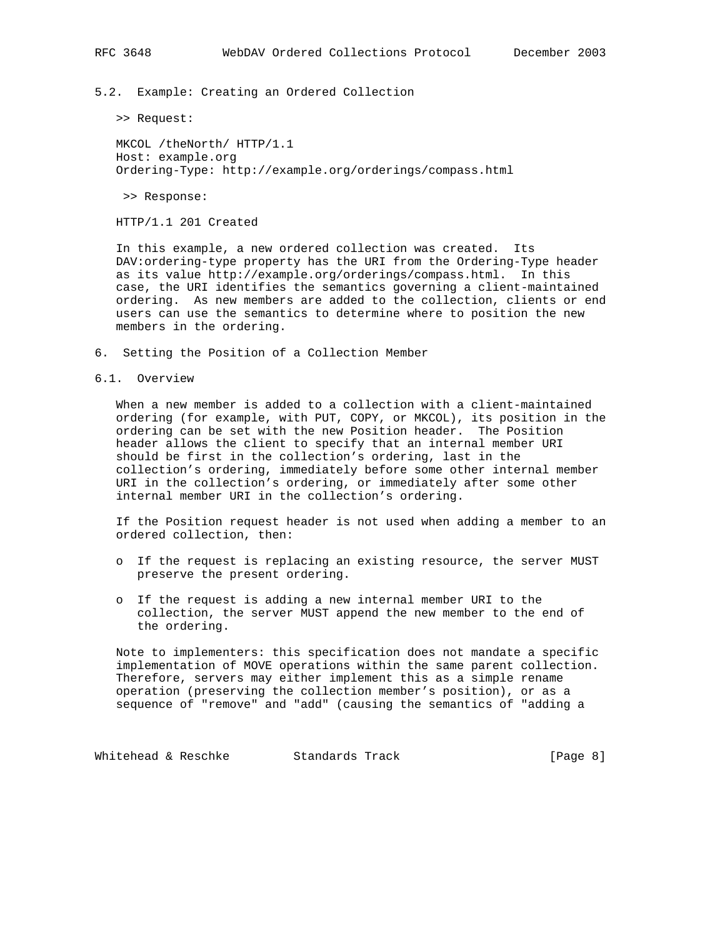5.2. Example: Creating an Ordered Collection

>> Request:

 MKCOL /theNorth/ HTTP/1.1 Host: example.org Ordering-Type: http://example.org/orderings/compass.html

>> Response:

HTTP/1.1 201 Created

 In this example, a new ordered collection was created. Its DAV:ordering-type property has the URI from the Ordering-Type header as its value http://example.org/orderings/compass.html. In this case, the URI identifies the semantics governing a client-maintained ordering. As new members are added to the collection, clients or end users can use the semantics to determine where to position the new members in the ordering.

- 6. Setting the Position of a Collection Member
- 6.1. Overview

 When a new member is added to a collection with a client-maintained ordering (for example, with PUT, COPY, or MKCOL), its position in the ordering can be set with the new Position header. The Position header allows the client to specify that an internal member URI should be first in the collection's ordering, last in the collection's ordering, immediately before some other internal member URI in the collection's ordering, or immediately after some other internal member URI in the collection's ordering.

 If the Position request header is not used when adding a member to an ordered collection, then:

- o If the request is replacing an existing resource, the server MUST preserve the present ordering.
- o If the request is adding a new internal member URI to the collection, the server MUST append the new member to the end of the ordering.

 Note to implementers: this specification does not mandate a specific implementation of MOVE operations within the same parent collection. Therefore, servers may either implement this as a simple rename operation (preserving the collection member's position), or as a sequence of "remove" and "add" (causing the semantics of "adding a

Whitehead & Reschke Standards Track [Page 8]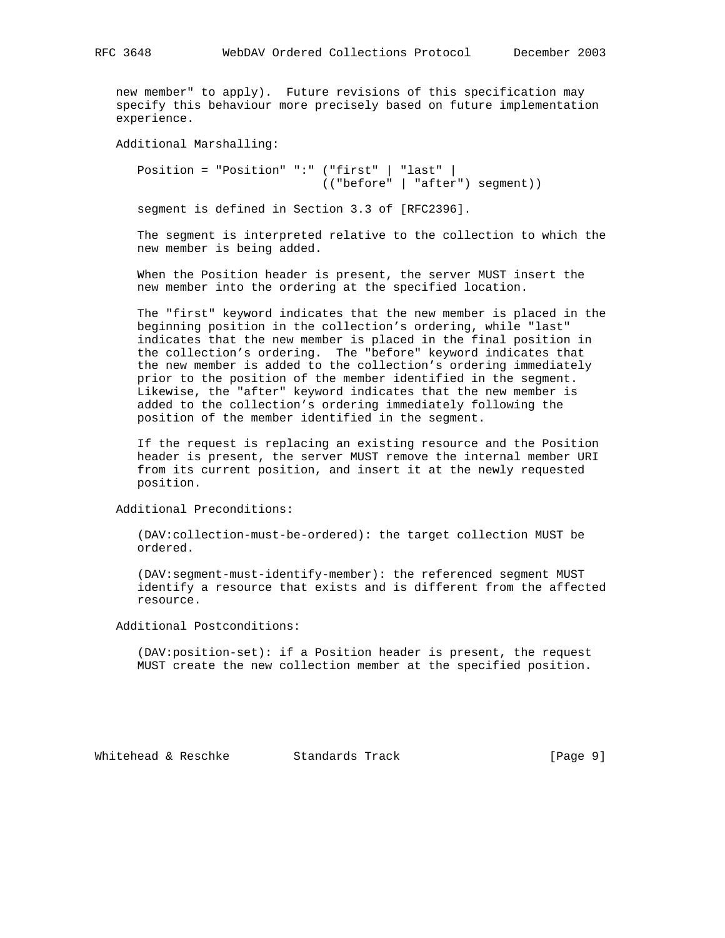new member" to apply). Future revisions of this specification may specify this behaviour more precisely based on future implementation experience.

Additional Marshalling:

 Position = "Position" ":" ("first" | "last" | (("before" | "after") segment))

segment is defined in Section 3.3 of [RFC2396].

 The segment is interpreted relative to the collection to which the new member is being added.

 When the Position header is present, the server MUST insert the new member into the ordering at the specified location.

 The "first" keyword indicates that the new member is placed in the beginning position in the collection's ordering, while "last" indicates that the new member is placed in the final position in the collection's ordering. The "before" keyword indicates that the new member is added to the collection's ordering immediately prior to the position of the member identified in the segment. Likewise, the "after" keyword indicates that the new member is added to the collection's ordering immediately following the position of the member identified in the segment.

 If the request is replacing an existing resource and the Position header is present, the server MUST remove the internal member URI from its current position, and insert it at the newly requested position.

Additional Preconditions:

 (DAV:collection-must-be-ordered): the target collection MUST be ordered.

 (DAV:segment-must-identify-member): the referenced segment MUST identify a resource that exists and is different from the affected resource.

Additional Postconditions:

 (DAV:position-set): if a Position header is present, the request MUST create the new collection member at the specified position.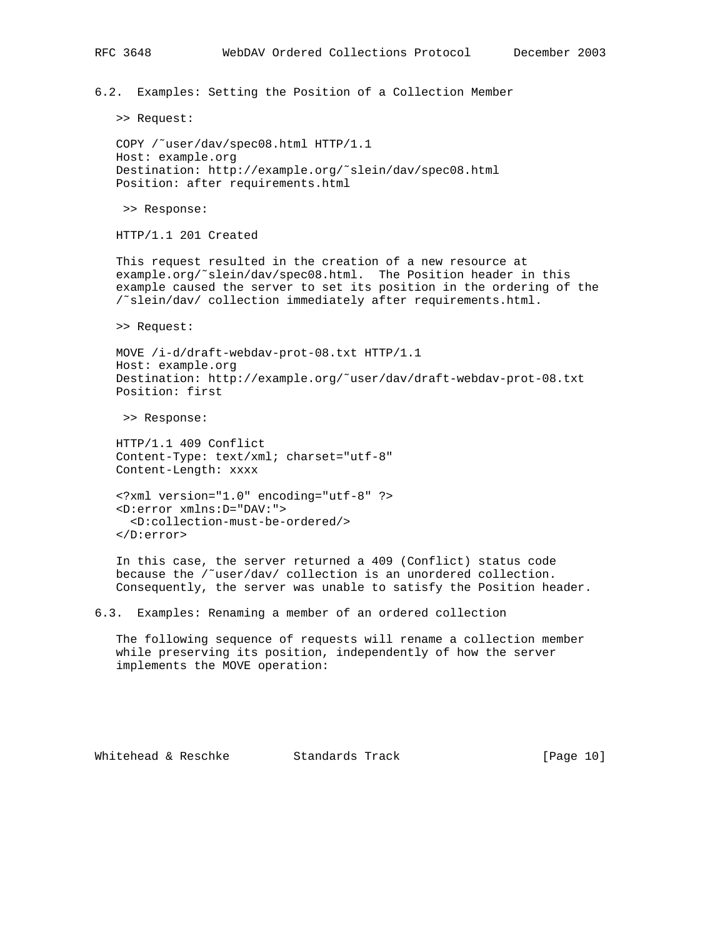6.2. Examples: Setting the Position of a Collection Member

>> Request:

```
 COPY /˜user/dav/spec08.html HTTP/1.1
 Host: example.org
 Destination: http://example.org/˜slein/dav/spec08.html
 Position: after requirements.html
```
>> Response:

HTTP/1.1 201 Created

 This request resulted in the creation of a new resource at example.org/˜slein/dav/spec08.html. The Position header in this example caused the server to set its position in the ordering of the /˜slein/dav/ collection immediately after requirements.html.

>> Request:

 MOVE /i-d/draft-webdav-prot-08.txt HTTP/1.1 Host: example.org Destination: http://example.org/˜user/dav/draft-webdav-prot-08.txt Position: first

>> Response:

 HTTP/1.1 409 Conflict Content-Type: text/xml; charset="utf-8" Content-Length: xxxx

```
 <?xml version="1.0" encoding="utf-8" ?>
 <D:error xmlns:D="DAV:">
   <D:collection-must-be-ordered/>
 </D:error>
```
 In this case, the server returned a 409 (Conflict) status code because the /˜user/dav/ collection is an unordered collection. Consequently, the server was unable to satisfy the Position header.

6.3. Examples: Renaming a member of an ordered collection

 The following sequence of requests will rename a collection member while preserving its position, independently of how the server implements the MOVE operation:

Whitehead & Reschke Standards Track [Page 10]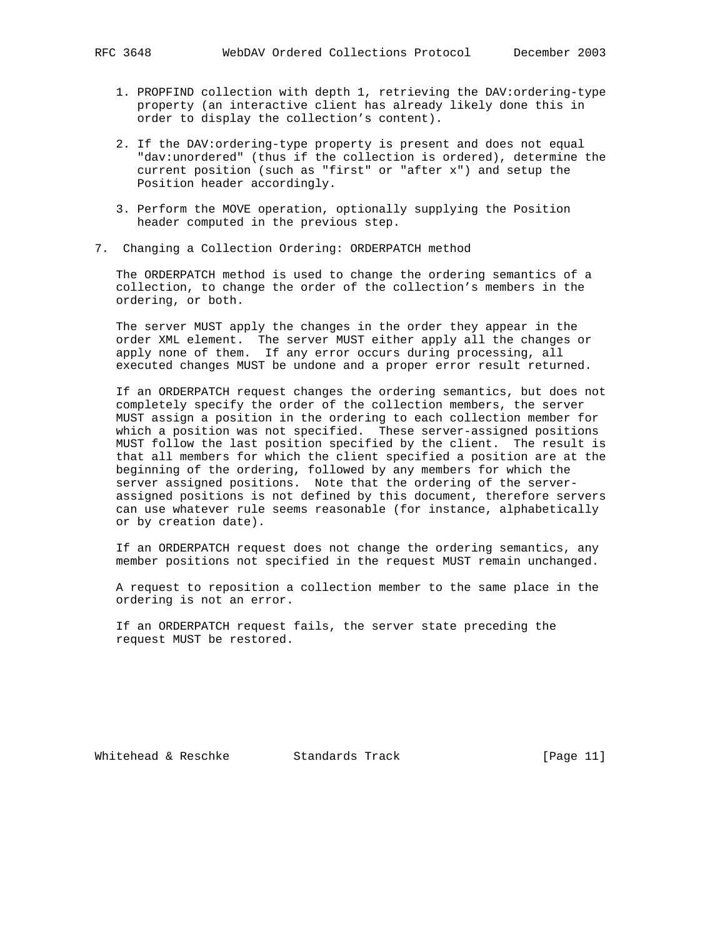- 1. PROPFIND collection with depth 1, retrieving the DAV:ordering-type property (an interactive client has already likely done this in order to display the collection's content).
- 2. If the DAV:ordering-type property is present and does not equal "dav:unordered" (thus if the collection is ordered), determine the current position (such as "first" or "after x") and setup the Position header accordingly.
- 3. Perform the MOVE operation, optionally supplying the Position header computed in the previous step.
- 7. Changing a Collection Ordering: ORDERPATCH method

 The ORDERPATCH method is used to change the ordering semantics of a collection, to change the order of the collection's members in the ordering, or both.

 The server MUST apply the changes in the order they appear in the order XML element. The server MUST either apply all the changes or apply none of them. If any error occurs during processing, all executed changes MUST be undone and a proper error result returned.

 If an ORDERPATCH request changes the ordering semantics, but does not completely specify the order of the collection members, the server MUST assign a position in the ordering to each collection member for which a position was not specified. These server-assigned positions MUST follow the last position specified by the client. The result is that all members for which the client specified a position are at the beginning of the ordering, followed by any members for which the server assigned positions. Note that the ordering of the server assigned positions is not defined by this document, therefore servers can use whatever rule seems reasonable (for instance, alphabetically or by creation date).

 If an ORDERPATCH request does not change the ordering semantics, any member positions not specified in the request MUST remain unchanged.

 A request to reposition a collection member to the same place in the ordering is not an error.

 If an ORDERPATCH request fails, the server state preceding the request MUST be restored.

Whitehead & Reschke Standards Track [Page 11]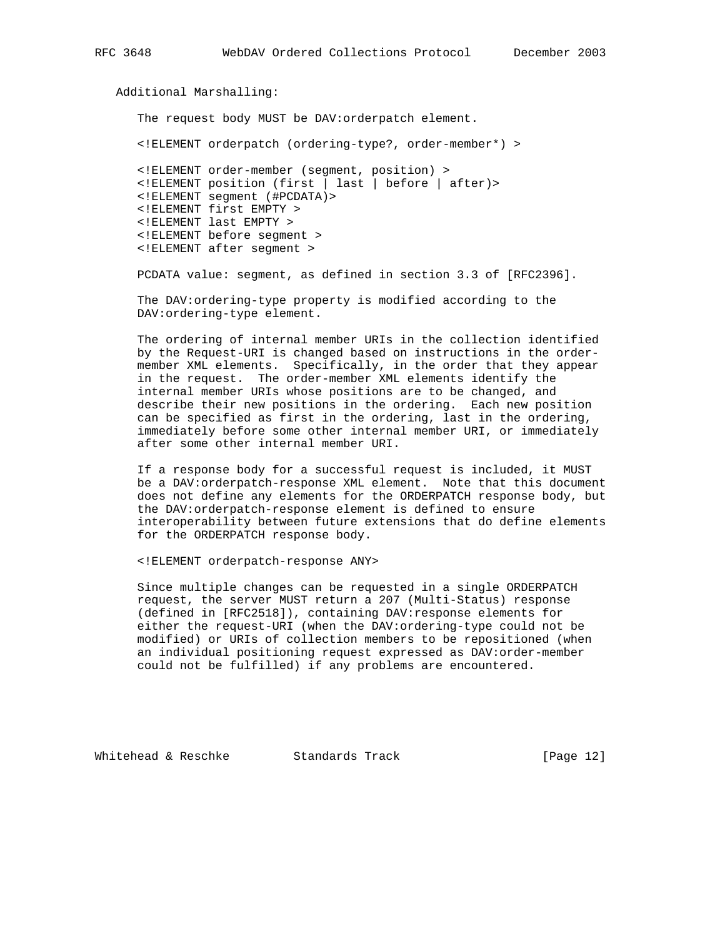```
 Additional Marshalling:
    The request body MUST be DAV:orderpatch element.
```
<!ELEMENT orderpatch (ordering-type?, order-member\*) >

 <!ELEMENT order-member (segment, position) > <!ELEMENT position (first | last | before | after)> <!ELEMENT segment (#PCDATA)> <!ELEMENT first EMPTY > <!ELEMENT last EMPTY > <!ELEMENT before segment > <!ELEMENT after segment >

PCDATA value: segment, as defined in section 3.3 of [RFC2396].

 The DAV:ordering-type property is modified according to the DAV:ordering-type element.

 The ordering of internal member URIs in the collection identified by the Request-URI is changed based on instructions in the order member XML elements. Specifically, in the order that they appear in the request. The order-member XML elements identify the internal member URIs whose positions are to be changed, and describe their new positions in the ordering. Each new position can be specified as first in the ordering, last in the ordering, immediately before some other internal member URI, or immediately after some other internal member URI.

 If a response body for a successful request is included, it MUST be a DAV:orderpatch-response XML element. Note that this document does not define any elements for the ORDERPATCH response body, but the DAV:orderpatch-response element is defined to ensure interoperability between future extensions that do define elements for the ORDERPATCH response body.

<!ELEMENT orderpatch-response ANY>

 Since multiple changes can be requested in a single ORDERPATCH request, the server MUST return a 207 (Multi-Status) response (defined in [RFC2518]), containing DAV:response elements for either the request-URI (when the DAV:ordering-type could not be modified) or URIs of collection members to be repositioned (when an individual positioning request expressed as DAV:order-member could not be fulfilled) if any problems are encountered.

Whitehead & Reschke Standards Track [Page 12]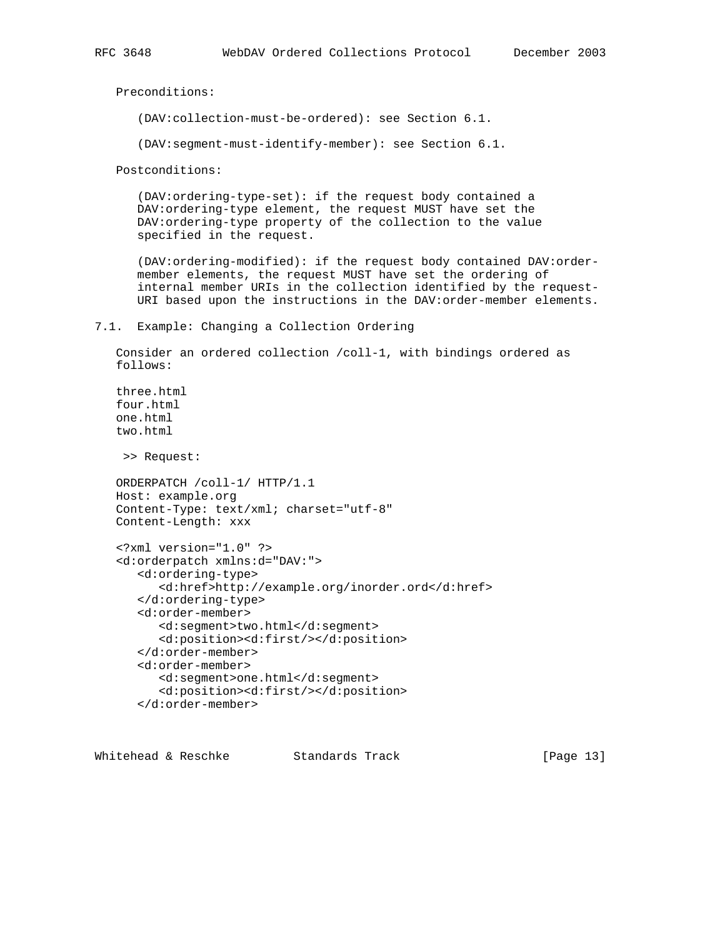Preconditions:

(DAV:collection-must-be-ordered): see Section 6.1.

(DAV:segment-must-identify-member): see Section 6.1.

Postconditions:

 (DAV:ordering-type-set): if the request body contained a DAV:ordering-type element, the request MUST have set the DAV:ordering-type property of the collection to the value specified in the request.

 (DAV:ordering-modified): if the request body contained DAV:order member elements, the request MUST have set the ordering of internal member URIs in the collection identified by the request- URI based upon the instructions in the DAV:order-member elements.

#### 7.1. Example: Changing a Collection Ordering

 Consider an ordered collection /coll-1, with bindings ordered as follows:

 three.html four.html one.html two.html

>> Request:

 ORDERPATCH /coll-1/ HTTP/1.1 Host: example.org Content-Type: text/xml; charset="utf-8" Content-Length: xxx

```
 <?xml version="1.0" ?>
 <d:orderpatch xmlns:d="DAV:">
    <d:ordering-type>
       <d:href>http://example.org/inorder.ord</d:href>
    </d:ordering-type>
    <d:order-member>
       <d:segment>two.html</d:segment>
       <d:position><d:first/></d:position>
    </d:order-member>
    <d:order-member>
       <d:segment>one.html</d:segment>
       <d:position><d:first/></d:position>
    </d:order-member>
```
Whitehead & Reschke Standards Track [Page 13]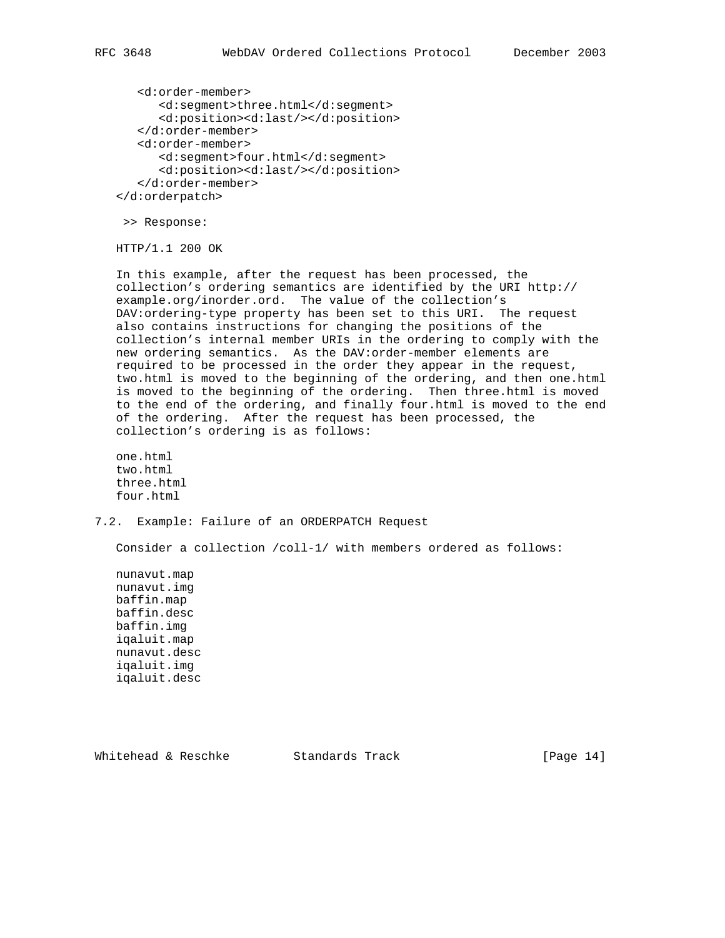<d:order-member> <d:segment>three.html</d:segment> <d:position><d:last/></d:position> </d:order-member> <d:order-member> <d:segment>four.html</d:segment> <d:position><d:last/></d:position> </d:order-member> </d:orderpatch>

>> Response:

HTTP/1.1 200 OK

 In this example, after the request has been processed, the collection's ordering semantics are identified by the URI http:// example.org/inorder.ord. The value of the collection's DAV:ordering-type property has been set to this URI. The request also contains instructions for changing the positions of the collection's internal member URIs in the ordering to comply with the new ordering semantics. As the DAV:order-member elements are required to be processed in the order they appear in the request, two.html is moved to the beginning of the ordering, and then one.html is moved to the beginning of the ordering. Then three.html is moved to the end of the ordering, and finally four.html is moved to the end of the ordering. After the request has been processed, the collection's ordering is as follows:

 one.html two.html three.html four.html

7.2. Example: Failure of an ORDERPATCH Request

Consider a collection /coll-1/ with members ordered as follows:

 nunavut.map nunavut.img baffin.map baffin.desc baffin.img iqaluit.map nunavut.desc iqaluit.img iqaluit.desc

Whitehead & Reschke Standards Track [Page 14]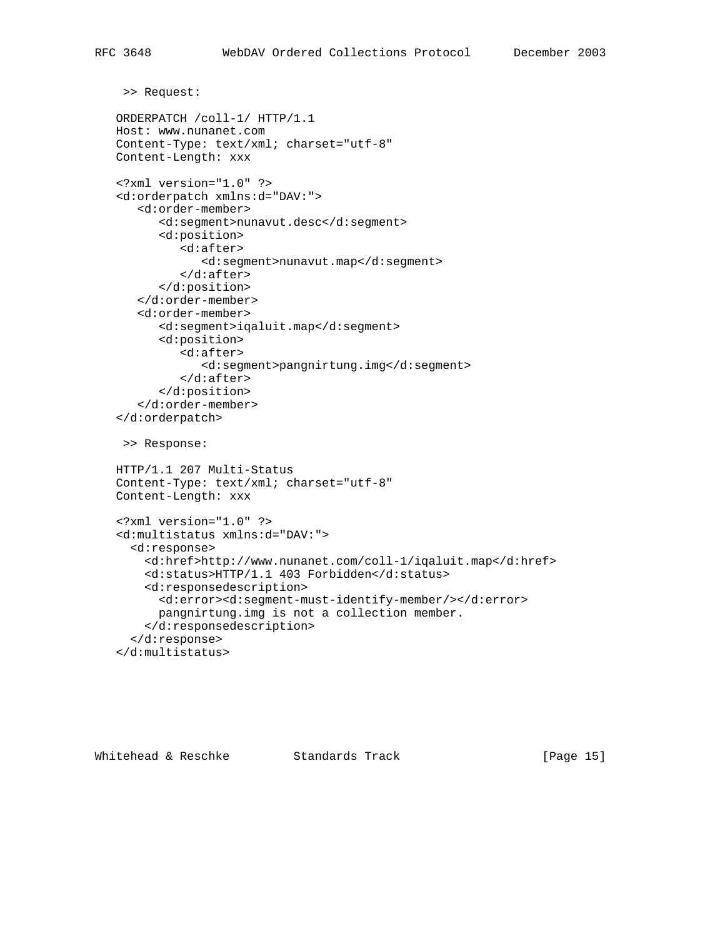```
 >> Request:
 ORDERPATCH /coll-1/ HTTP/1.1
 Host: www.nunanet.com
 Content-Type: text/xml; charset="utf-8"
 Content-Length: xxx
 <?xml version="1.0" ?>
 <d:orderpatch xmlns:d="DAV:">
    <d:order-member>
       <d:segment>nunavut.desc</d:segment>
       <d:position>
          <d:after>
              <d:segment>nunavut.map</d:segment>
          </d:after>
       </d:position>
    </d:order-member>
    <d:order-member>
       <d:segment>iqaluit.map</d:segment>
       <d:position>
          <d:after>
              <d:segment>pangnirtung.img</d:segment>
          </d:after>
       </d:position>
    </d:order-member>
 </d:orderpatch>
  >> Response:
 HTTP/1.1 207 Multi-Status
 Content-Type: text/xml; charset="utf-8"
 Content-Length: xxx
 <?xml version="1.0" ?>
 <d:multistatus xmlns:d="DAV:">
   <d:response>
     <d:href>http://www.nunanet.com/coll-1/iqaluit.map</d:href>
     <d:status>HTTP/1.1 403 Forbidden</d:status>
     <d:responsedescription>
       <d:error><d:segment-must-identify-member/></d:error>
       pangnirtung.img is not a collection member.
     </d:responsedescription>
   </d:response>
 </d:multistatus>
```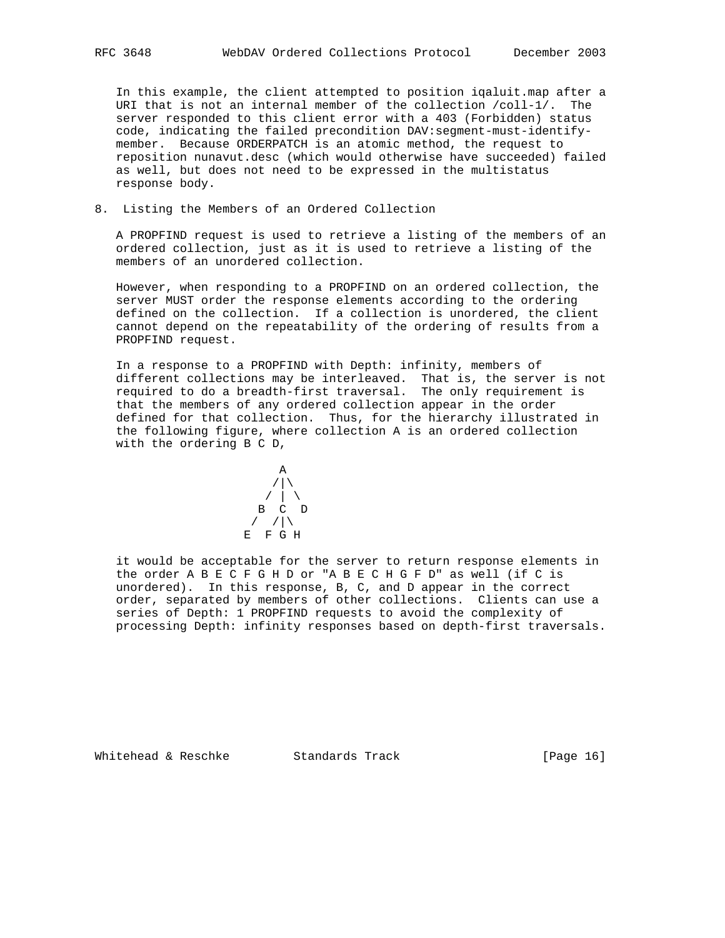In this example, the client attempted to position iqaluit.map after a URI that is not an internal member of the collection /coll-1/. The server responded to this client error with a 403 (Forbidden) status code, indicating the failed precondition DAV:segment-must-identify member. Because ORDERPATCH is an atomic method, the request to reposition nunavut.desc (which would otherwise have succeeded) failed as well, but does not need to be expressed in the multistatus response body.

8. Listing the Members of an Ordered Collection

 A PROPFIND request is used to retrieve a listing of the members of an ordered collection, just as it is used to retrieve a listing of the members of an unordered collection.

 However, when responding to a PROPFIND on an ordered collection, the server MUST order the response elements according to the ordering defined on the collection. If a collection is unordered, the client cannot depend on the repeatability of the ordering of results from a PROPFIND request.

 In a response to a PROPFIND with Depth: infinity, members of different collections may be interleaved. That is, the server is not required to do a breadth-first traversal. The only requirement is that the members of any ordered collection appear in the order defined for that collection. Thus, for the hierarchy illustrated in the following figure, where collection A is an ordered collection with the ordering B C D,

$$
\begin{array}{c}\nA \\
\begin{array}{c}\n\end{array} \\
\begin{array}{c}\n\end{array} \\
B \\
B \\
\begin{array}{c}\n\end{array} \\
\begin{array}{c}\n\end{array} \\
\begin{array}{c}\n\end{array} \\
\begin{array}{c}\n\end{array} \\
\begin{array}{c}\n\end{array} \\
\begin{array}{c}\n\end{array} \\
E \\
E \\
F \\
G \\
H\n\end{array}
$$

 it would be acceptable for the server to return response elements in the order A B E C F G H D or "A B E C H G F D" as well (if C is unordered). In this response, B, C, and D appear in the correct order, separated by members of other collections. Clients can use a series of Depth: 1 PROPFIND requests to avoid the complexity of processing Depth: infinity responses based on depth-first traversals.

Whitehead & Reschke Standards Track [Page 16]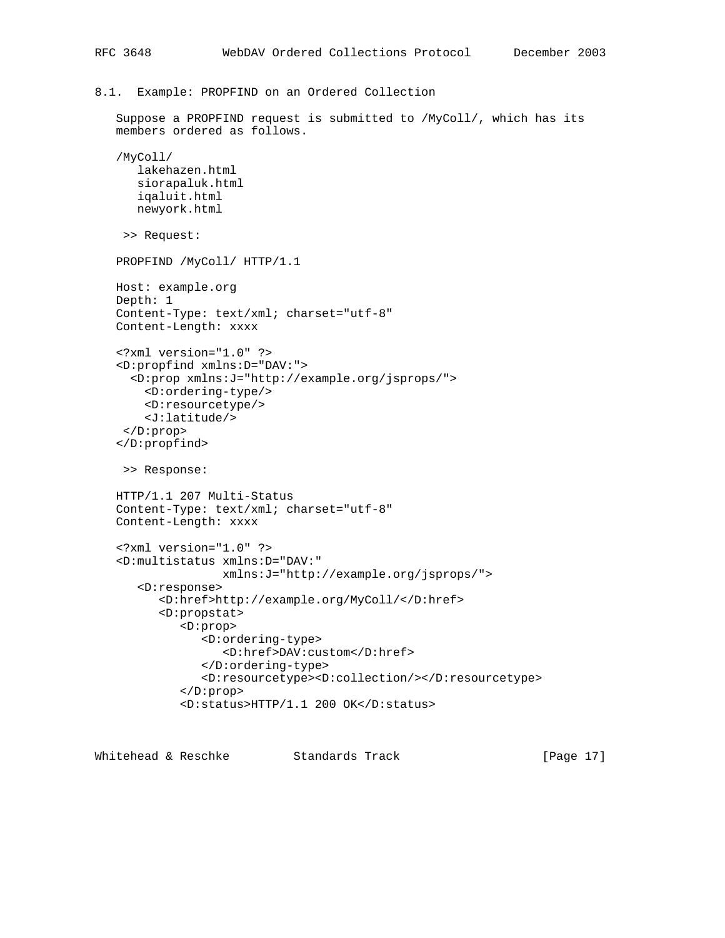8.1. Example: PROPFIND on an Ordered Collection

```
 Suppose a PROPFIND request is submitted to /MyColl/, which has its
 members ordered as follows.
 /MyColl/
    lakehazen.html
    siorapaluk.html
    iqaluit.html
    newyork.html
  >> Request:
 PROPFIND /MyColl/ HTTP/1.1
 Host: example.org
 Depth: 1
 Content-Type: text/xml; charset="utf-8"
 Content-Length: xxxx
 <?xml version="1.0" ?>
 <D:propfind xmlns:D="DAV:">
   <D:prop xmlns:J="http://example.org/jsprops/">
     <D:ordering-type/>
     <D:resourcetype/>
     <J:latitude/>
  </D:prop>
 </D:propfind>
 >> Response:
 HTTP/1.1 207 Multi-Status
 Content-Type: text/xml; charset="utf-8"
 Content-Length: xxxx
 <?xml version="1.0" ?>
 <D:multistatus xmlns:D="DAV:"
                xmlns:J="http://example.org/jsprops/">
    <D:response>
       <D:href>http://example.org/MyColl/</D:href>
       <D:propstat>
          <D:prop>
             <D:ordering-type>
                 <D:href>DAV:custom</D:href>
              </D:ordering-type>
              <D:resourcetype><D:collection/></D:resourcetype>
          </D:prop>
          <D:status>HTTP/1.1 200 OK</D:status>
```
Whitehead & Reschke Standards Track [Page 17]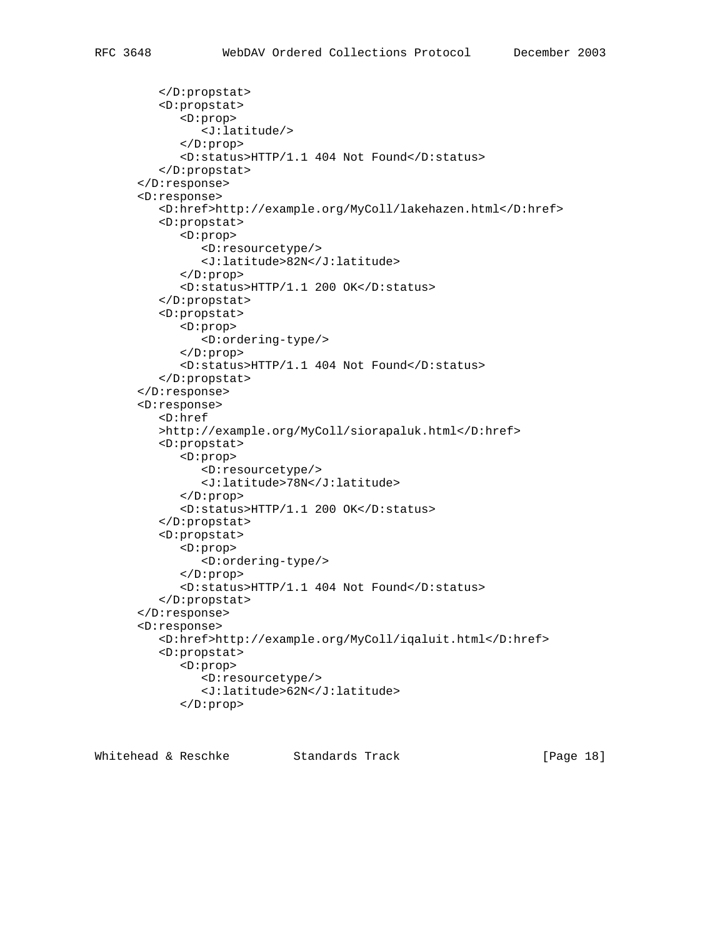```
 </D:propstat>
    <D:propstat>
       <D:prop>
          <J:latitude/>
       </D:prop>
       <D:status>HTTP/1.1 404 Not Found</D:status>
    </D:propstat>
 </D:response>
 <D:response>
    <D:href>http://example.org/MyColl/lakehazen.html</D:href>
    <D:propstat>
       <D:prop>
          <D:resourcetype/>
          <J:latitude>82N</J:latitude>
       </D:prop>
       <D:status>HTTP/1.1 200 OK</D:status>
    </D:propstat>
    <D:propstat>
       <D:prop>
          <D:ordering-type/>
       </D:prop>
       <D:status>HTTP/1.1 404 Not Found</D:status>
    </D:propstat>
 </D:response>
 <D:response>
    <D:href
    >http://example.org/MyColl/siorapaluk.html</D:href>
    <D:propstat>
       <D:prop>
          <D:resourcetype/>
          <J:latitude>78N</J:latitude>
       </D:prop>
       <D:status>HTTP/1.1 200 OK</D:status>
    </D:propstat>
    <D:propstat>
       <D:prop>
          <D:ordering-type/>
       </D:prop>
       <D:status>HTTP/1.1 404 Not Found</D:status>
    </D:propstat>
 </D:response>
 <D:response>
    <D:href>http://example.org/MyColl/iqaluit.html</D:href>
    <D:propstat>
       <D:prop>
          <D:resourcetype/>
          <J:latitude>62N</J:latitude>
       </D:prop>
```
Whitehead & Reschke Standards Track [Page 18]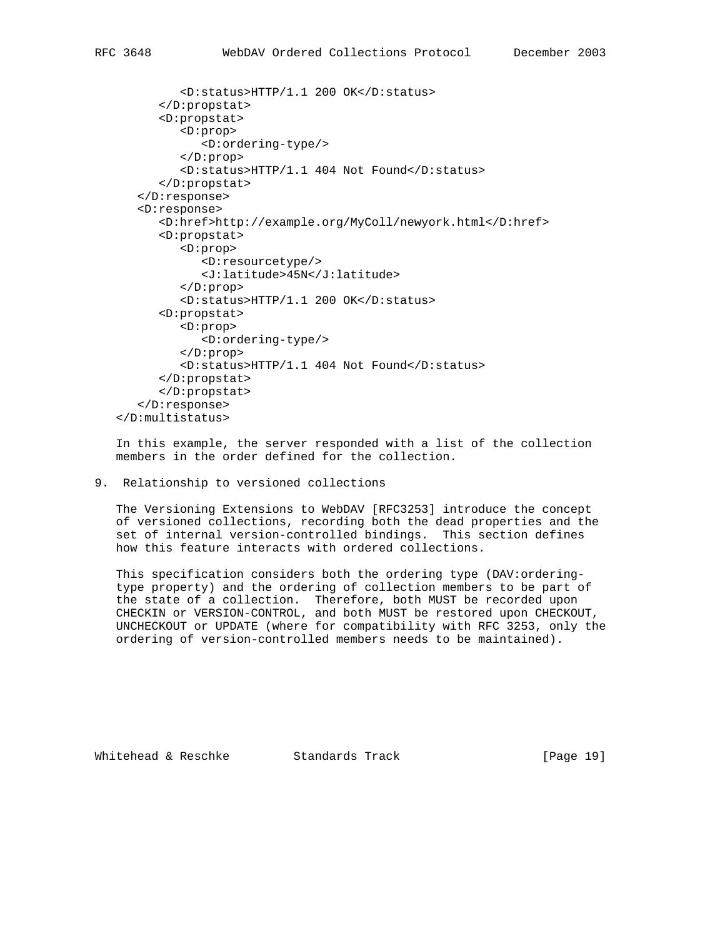```
 <D:status>HTTP/1.1 200 OK</D:status>
       </D:propstat>
       <D:propstat>
          <D:prop>
              <D:ordering-type/>
          </D:prop>
          <D:status>HTTP/1.1 404 Not Found</D:status>
       </D:propstat>
    </D:response>
    <D:response>
       <D:href>http://example.org/MyColl/newyork.html</D:href>
       <D:propstat>
          <D:prop>
             <D:resourcetype/>
              <J:latitude>45N</J:latitude>
          </D:prop>
          <D:status>HTTP/1.1 200 OK</D:status>
       <D:propstat>
          <D:prop>
              <D:ordering-type/>
          </D:prop>
          <D:status>HTTP/1.1 404 Not Found</D:status>
       </D:propstat>
       </D:propstat>
    </D:response>
 </D:multistatus>
```
 In this example, the server responded with a list of the collection members in the order defined for the collection.

9. Relationship to versioned collections

 The Versioning Extensions to WebDAV [RFC3253] introduce the concept of versioned collections, recording both the dead properties and the set of internal version-controlled bindings. This section defines how this feature interacts with ordered collections.

 This specification considers both the ordering type (DAV:ordering type property) and the ordering of collection members to be part of the state of a collection. Therefore, both MUST be recorded upon CHECKIN or VERSION-CONTROL, and both MUST be restored upon CHECKOUT, UNCHECKOUT or UPDATE (where for compatibility with RFC 3253, only the ordering of version-controlled members needs to be maintained).

Whitehead & Reschke Standards Track [Page 19]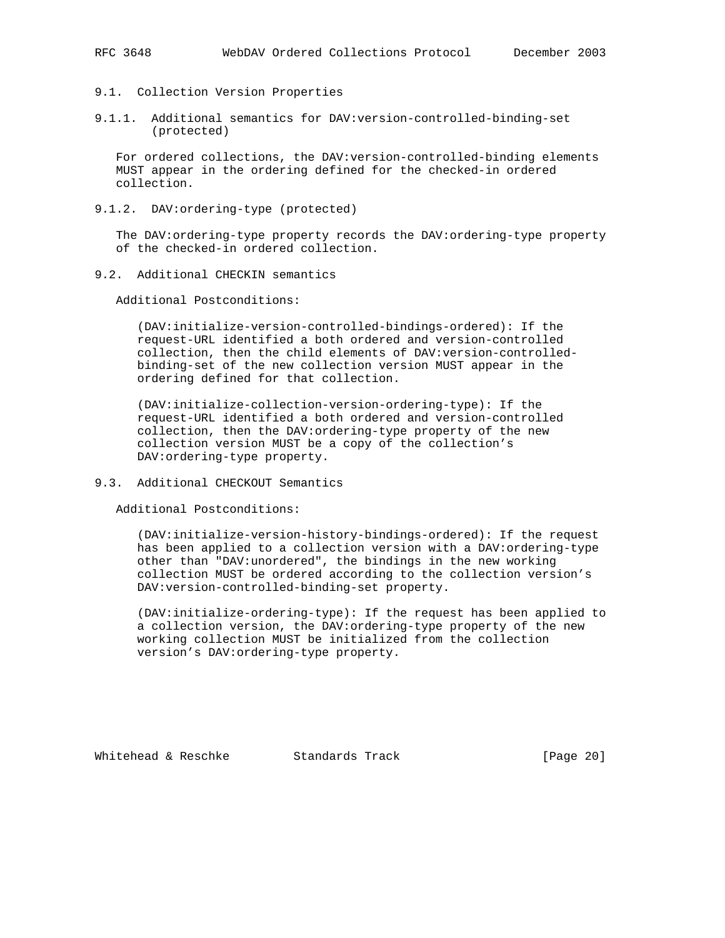- 9.1. Collection Version Properties
- 9.1.1. Additional semantics for DAV:version-controlled-binding-set (protected)

 For ordered collections, the DAV:version-controlled-binding elements MUST appear in the ordering defined for the checked-in ordered collection.

9.1.2. DAV:ordering-type (protected)

 The DAV:ordering-type property records the DAV:ordering-type property of the checked-in ordered collection.

9.2. Additional CHECKIN semantics

Additional Postconditions:

 (DAV:initialize-version-controlled-bindings-ordered): If the request-URL identified a both ordered and version-controlled collection, then the child elements of DAV:version-controlled binding-set of the new collection version MUST appear in the ordering defined for that collection.

 (DAV:initialize-collection-version-ordering-type): If the request-URL identified a both ordered and version-controlled collection, then the DAV:ordering-type property of the new collection version MUST be a copy of the collection's DAV:ordering-type property.

9.3. Additional CHECKOUT Semantics

Additional Postconditions:

 (DAV:initialize-version-history-bindings-ordered): If the request has been applied to a collection version with a DAV:ordering-type other than "DAV:unordered", the bindings in the new working collection MUST be ordered according to the collection version's DAV:version-controlled-binding-set property.

 (DAV:initialize-ordering-type): If the request has been applied to a collection version, the DAV:ordering-type property of the new working collection MUST be initialized from the collection version's DAV:ordering-type property.

Whitehead & Reschke Standards Track [Page 20]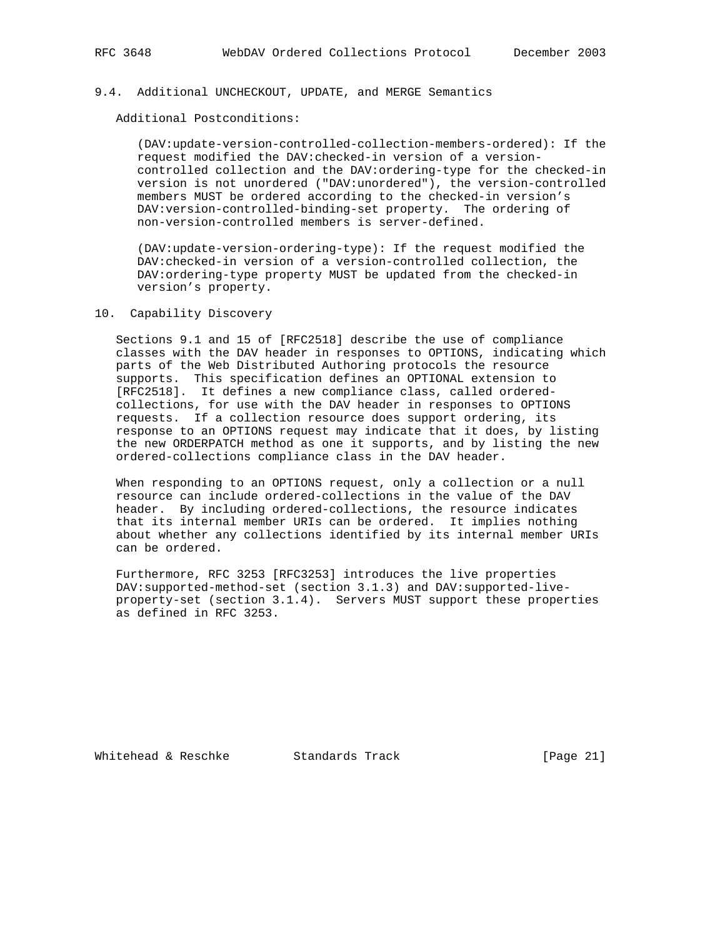## 9.4. Additional UNCHECKOUT, UPDATE, and MERGE Semantics

Additional Postconditions:

 (DAV:update-version-controlled-collection-members-ordered): If the request modified the DAV:checked-in version of a version controlled collection and the DAV:ordering-type for the checked-in version is not unordered ("DAV:unordered"), the version-controlled members MUST be ordered according to the checked-in version's DAV:version-controlled-binding-set property. The ordering of non-version-controlled members is server-defined.

 (DAV:update-version-ordering-type): If the request modified the DAV:checked-in version of a version-controlled collection, the DAV:ordering-type property MUST be updated from the checked-in version's property.

## 10. Capability Discovery

 Sections 9.1 and 15 of [RFC2518] describe the use of compliance classes with the DAV header in responses to OPTIONS, indicating which parts of the Web Distributed Authoring protocols the resource supports. This specification defines an OPTIONAL extension to [RFC2518]. It defines a new compliance class, called ordered collections, for use with the DAV header in responses to OPTIONS requests. If a collection resource does support ordering, its response to an OPTIONS request may indicate that it does, by listing the new ORDERPATCH method as one it supports, and by listing the new ordered-collections compliance class in the DAV header.

 When responding to an OPTIONS request, only a collection or a null resource can include ordered-collections in the value of the DAV header. By including ordered-collections, the resource indicates that its internal member URIs can be ordered. It implies nothing about whether any collections identified by its internal member URIs can be ordered.

 Furthermore, RFC 3253 [RFC3253] introduces the live properties DAV:supported-method-set (section 3.1.3) and DAV:supported-live property-set (section 3.1.4). Servers MUST support these properties as defined in RFC 3253.

Whitehead & Reschke Standards Track [Page 21]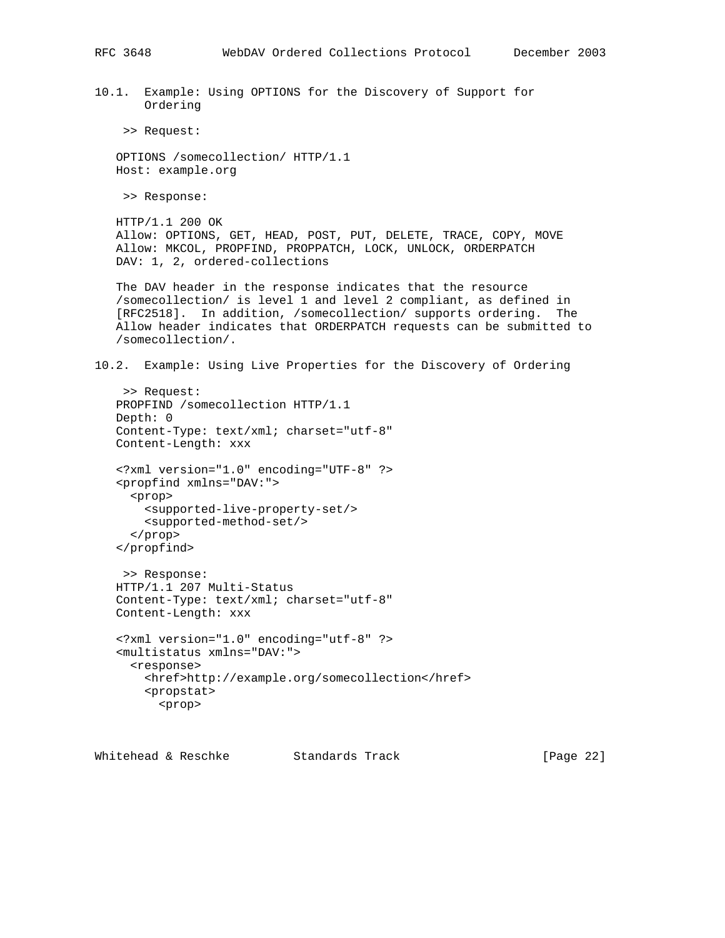10.1. Example: Using OPTIONS for the Discovery of Support for Ordering

>> Request:

 OPTIONS /somecollection/ HTTP/1.1 Host: example.org

>> Response:

 HTTP/1.1 200 OK Allow: OPTIONS, GET, HEAD, POST, PUT, DELETE, TRACE, COPY, MOVE Allow: MKCOL, PROPFIND, PROPPATCH, LOCK, UNLOCK, ORDERPATCH DAV: 1, 2, ordered-collections

 The DAV header in the response indicates that the resource /somecollection/ is level 1 and level 2 compliant, as defined in [RFC2518]. In addition, /somecollection/ supports ordering. The Allow header indicates that ORDERPATCH requests can be submitted to /somecollection/.

10.2. Example: Using Live Properties for the Discovery of Ordering

 >> Request: PROPFIND /somecollection HTTP/1.1 Depth: 0 Content-Type: text/xml; charset="utf-8" Content-Length: xxx <?xml version="1.0" encoding="UTF-8" ?> <propfind xmlns="DAV:"> <prop> <supported-live-property-set/> <supported-method-set/> </prop> </propfind> >> Response: HTTP/1.1 207 Multi-Status Content-Type: text/xml; charset="utf-8" Content-Length: xxx <?xml version="1.0" encoding="utf-8" ?>

 <multistatus xmlns="DAV:"> <response> <href>http://example.org/somecollection</href> <propstat> <prop>

Whitehead & Reschke Standards Track [Page 22]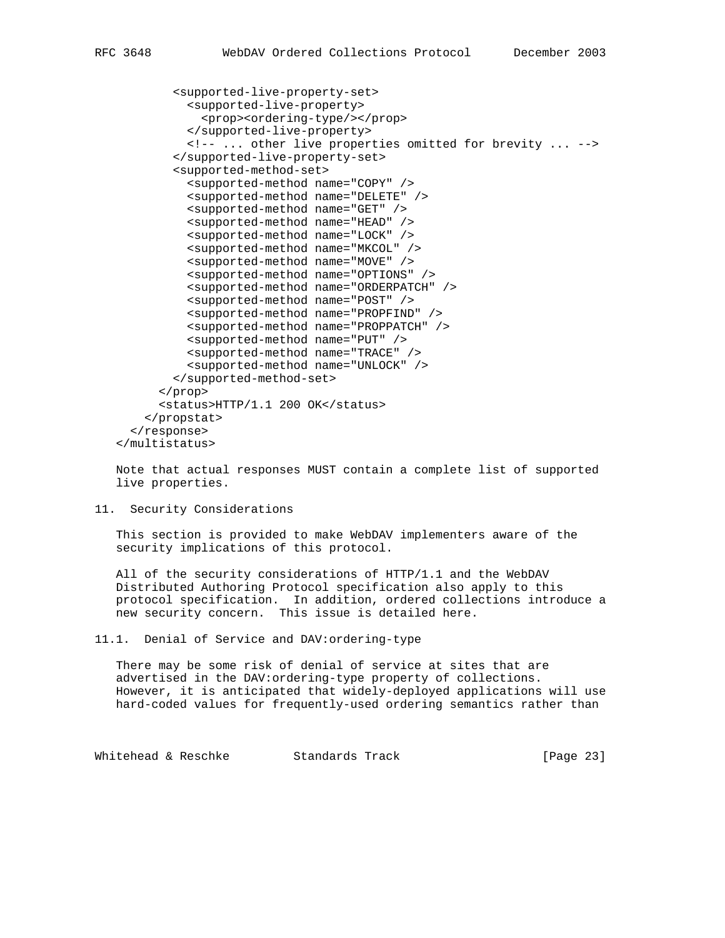<supported-live-property-set> <supported-live-property> <prop><ordering-type/></prop> </supported-live-property> <!-- ... other live properties omitted for brevity ... --> </supported-live-property-set> <supported-method-set> <supported-method name="COPY" /> <supported-method name="DELETE" /> <supported-method name="GET" /> <supported-method name="HEAD" /> <supported-method name="LOCK" /> <supported-method name="MKCOL" /> <supported-method name="MOVE" /> <supported-method name="OPTIONS" /> <supported-method name="ORDERPATCH" /> <supported-method name="POST" /> <supported-method name="PROPFIND" /> <supported-method name="PROPPATCH" /> <supported-method name="PUT" /> <supported-method name="TRACE" /> <supported-method name="UNLOCK" /> </supported-method-set> </prop> <status>HTTP/1.1 200 OK</status> </propstat> </response> </multistatus>

 Note that actual responses MUST contain a complete list of supported live properties.

11. Security Considerations

 This section is provided to make WebDAV implementers aware of the security implications of this protocol.

 All of the security considerations of HTTP/1.1 and the WebDAV Distributed Authoring Protocol specification also apply to this protocol specification. In addition, ordered collections introduce a new security concern. This issue is detailed here.

11.1. Denial of Service and DAV:ordering-type

 There may be some risk of denial of service at sites that are advertised in the DAV:ordering-type property of collections. However, it is anticipated that widely-deployed applications will use hard-coded values for frequently-used ordering semantics rather than

Whitehead & Reschke Standards Track [Page 23]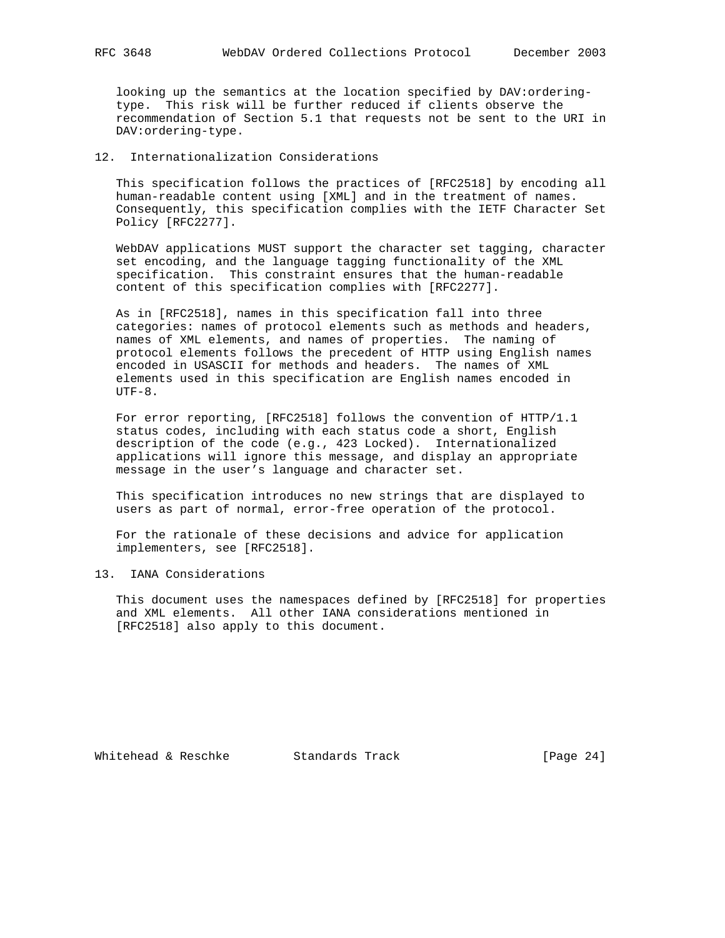looking up the semantics at the location specified by DAV:ordering type. This risk will be further reduced if clients observe the recommendation of Section 5.1 that requests not be sent to the URI in DAV:ordering-type.

12. Internationalization Considerations

 This specification follows the practices of [RFC2518] by encoding all human-readable content using [XML] and in the treatment of names. Consequently, this specification complies with the IETF Character Set Policy [RFC2277].

 WebDAV applications MUST support the character set tagging, character set encoding, and the language tagging functionality of the XML specification. This constraint ensures that the human-readable content of this specification complies with [RFC2277].

 As in [RFC2518], names in this specification fall into three categories: names of protocol elements such as methods and headers, names of XML elements, and names of properties. The naming of protocol elements follows the precedent of HTTP using English names encoded in USASCII for methods and headers. The names of XML elements used in this specification are English names encoded in  $UTF-8.$ 

 For error reporting, [RFC2518] follows the convention of HTTP/1.1 status codes, including with each status code a short, English description of the code (e.g., 423 Locked). Internationalized applications will ignore this message, and display an appropriate message in the user's language and character set.

 This specification introduces no new strings that are displayed to users as part of normal, error-free operation of the protocol.

 For the rationale of these decisions and advice for application implementers, see [RFC2518].

13. IANA Considerations

 This document uses the namespaces defined by [RFC2518] for properties and XML elements. All other IANA considerations mentioned in [RFC2518] also apply to this document.

Whitehead & Reschke Standards Track [Page 24]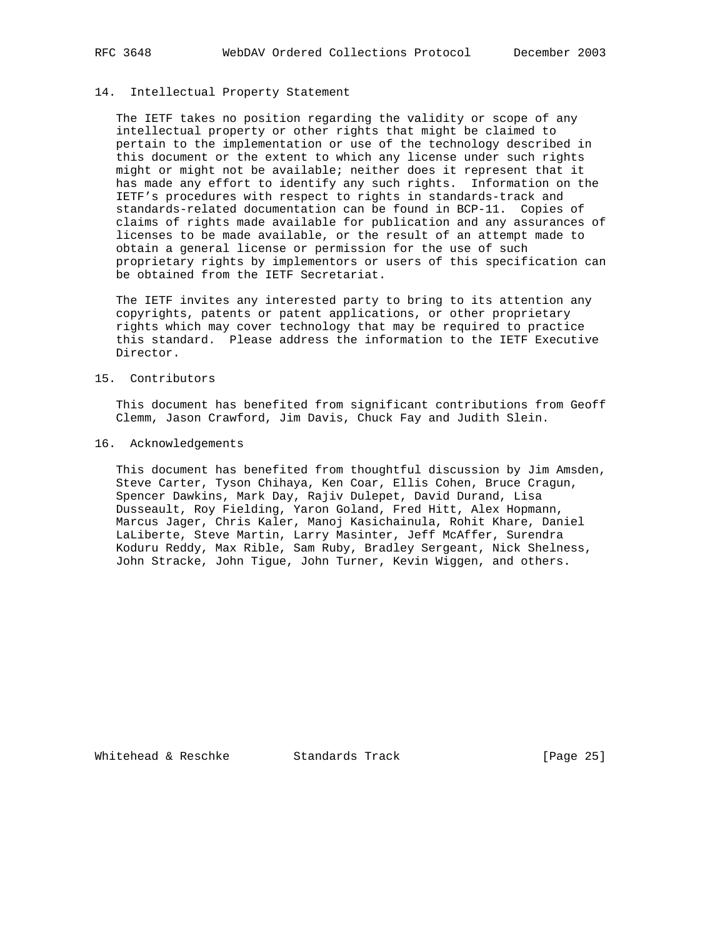## 14. Intellectual Property Statement

 The IETF takes no position regarding the validity or scope of any intellectual property or other rights that might be claimed to pertain to the implementation or use of the technology described in this document or the extent to which any license under such rights might or might not be available; neither does it represent that it has made any effort to identify any such rights. Information on the IETF's procedures with respect to rights in standards-track and standards-related documentation can be found in BCP-11. Copies of claims of rights made available for publication and any assurances of licenses to be made available, or the result of an attempt made to obtain a general license or permission for the use of such proprietary rights by implementors or users of this specification can be obtained from the IETF Secretariat.

 The IETF invites any interested party to bring to its attention any copyrights, patents or patent applications, or other proprietary rights which may cover technology that may be required to practice this standard. Please address the information to the IETF Executive Director.

### 15. Contributors

 This document has benefited from significant contributions from Geoff Clemm, Jason Crawford, Jim Davis, Chuck Fay and Judith Slein.

## 16. Acknowledgements

 This document has benefited from thoughtful discussion by Jim Amsden, Steve Carter, Tyson Chihaya, Ken Coar, Ellis Cohen, Bruce Cragun, Spencer Dawkins, Mark Day, Rajiv Dulepet, David Durand, Lisa Dusseault, Roy Fielding, Yaron Goland, Fred Hitt, Alex Hopmann, Marcus Jager, Chris Kaler, Manoj Kasichainula, Rohit Khare, Daniel LaLiberte, Steve Martin, Larry Masinter, Jeff McAffer, Surendra Koduru Reddy, Max Rible, Sam Ruby, Bradley Sergeant, Nick Shelness, John Stracke, John Tigue, John Turner, Kevin Wiggen, and others.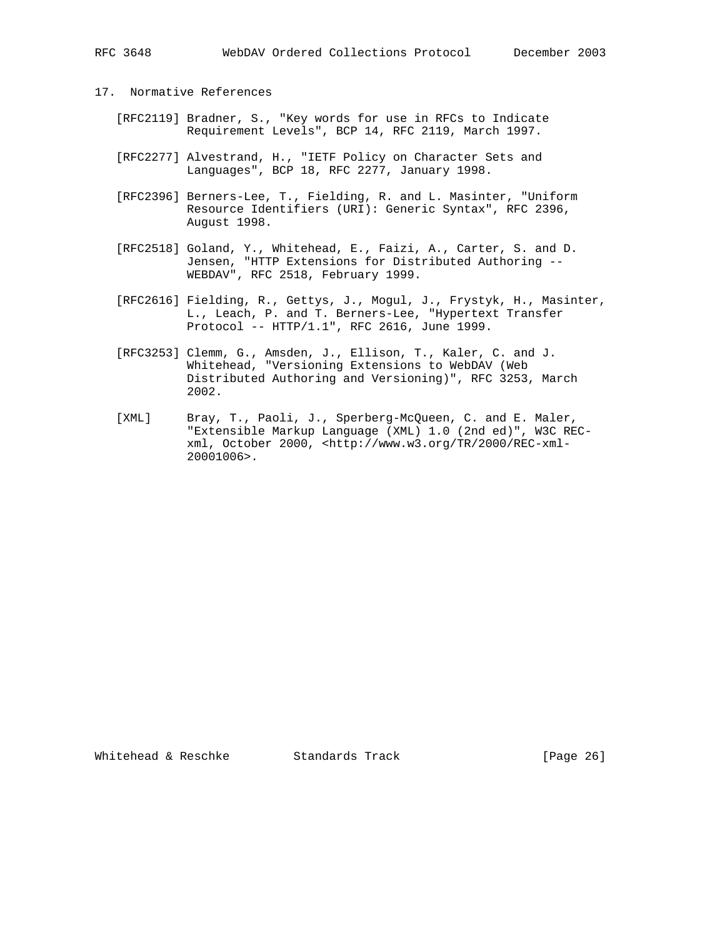- 17. Normative References
	- [RFC2119] Bradner, S., "Key words for use in RFCs to Indicate Requirement Levels", BCP 14, RFC 2119, March 1997.
	- [RFC2277] Alvestrand, H., "IETF Policy on Character Sets and Languages", BCP 18, RFC 2277, January 1998.
	- [RFC2396] Berners-Lee, T., Fielding, R. and L. Masinter, "Uniform Resource Identifiers (URI): Generic Syntax", RFC 2396, August 1998.
- [RFC2518] Goland, Y., Whitehead, E., Faizi, A., Carter, S. and D. Jensen, "HTTP Extensions for Distributed Authoring -- WEBDAV", RFC 2518, February 1999.
	- [RFC2616] Fielding, R., Gettys, J., Mogul, J., Frystyk, H., Masinter, L., Leach, P. and T. Berners-Lee, "Hypertext Transfer Protocol -- HTTP/1.1", RFC 2616, June 1999.
	- [RFC3253] Clemm, G., Amsden, J., Ellison, T., Kaler, C. and J. Whitehead, "Versioning Extensions to WebDAV (Web Distributed Authoring and Versioning)", RFC 3253, March 2002.
	- [XML] Bray, T., Paoli, J., Sperberg-McQueen, C. and E. Maler, "Extensible Markup Language (XML) 1.0 (2nd ed)", W3C REC xml, October 2000, <http://www.w3.org/TR/2000/REC-xml- 20001006>.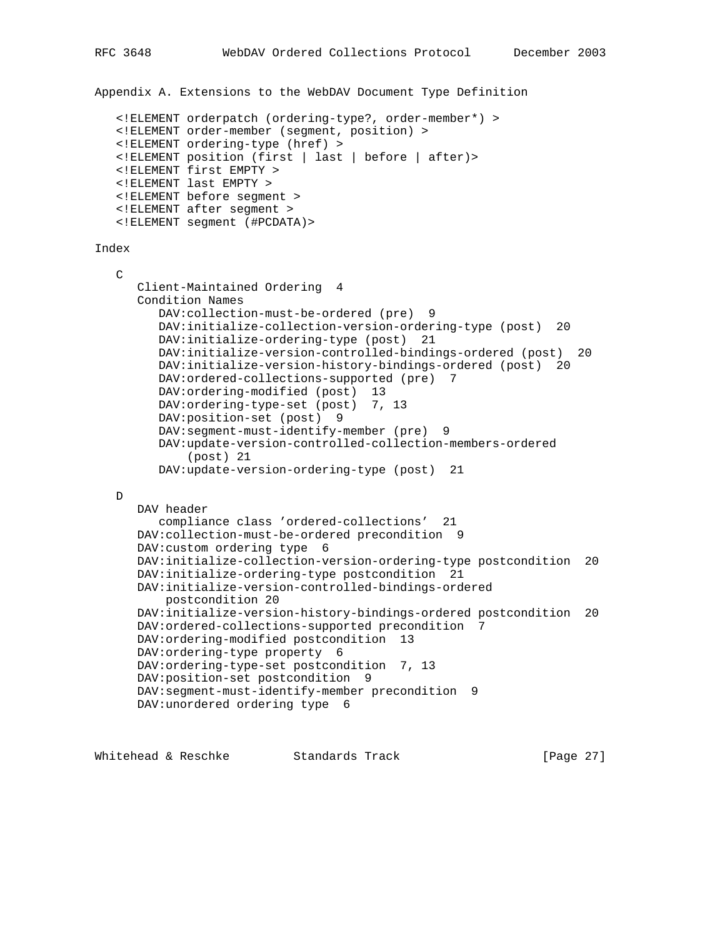```
Appendix A. Extensions to the WebDAV Document Type Definition
    <!ELEMENT orderpatch (ordering-type?, order-member*) >
    <!ELEMENT order-member (segment, position) >
    <!ELEMENT ordering-type (href) >
    <!ELEMENT position (first | last | before | after)>
    <!ELEMENT first EMPTY >
    <!ELEMENT last EMPTY >
    <!ELEMENT before segment >
    <!ELEMENT after segment >
    <!ELEMENT segment (#PCDATA)>
Index
  \mathcal{C} Client-Maintained Ordering 4
       Condition Names
         DAV:collection-must-be-ordered (pre) 9
          DAV:initialize-collection-version-ordering-type (post) 20
          DAV:initialize-ordering-type (post) 21
          DAV:initialize-version-controlled-bindings-ordered (post) 20
          DAV:initialize-version-history-bindings-ordered (post) 20
          DAV:ordered-collections-supported (pre) 7
         DAV: ordering-modified (post) 13
         DAV: ordering-type-set (post) 7, 13
          DAV:position-set (post) 9
          DAV:segment-must-identify-member (pre) 9
          DAV:update-version-controlled-collection-members-ordered
              (post) 21
          DAV:update-version-ordering-type (post) 21
   D
       DAV header
         compliance class 'ordered-collections' 21
      DAV:collection-must-be-ordered precondition 9
       DAV:custom ordering type 6
       DAV:initialize-collection-version-ordering-type postcondition 20
       DAV:initialize-ordering-type postcondition 21
       DAV:initialize-version-controlled-bindings-ordered
           postcondition 20
       DAV:initialize-version-history-bindings-ordered postcondition 20
       DAV:ordered-collections-supported precondition 7
       DAV:ordering-modified postcondition 13
       DAV:ordering-type property 6
       DAV:ordering-type-set postcondition 7, 13
       DAV:position-set postcondition 9
      DAV:segment-must-identify-member precondition 9
      DAV:unordered ordering type 6
```
Whitehead & Reschke Standards Track [Page 27]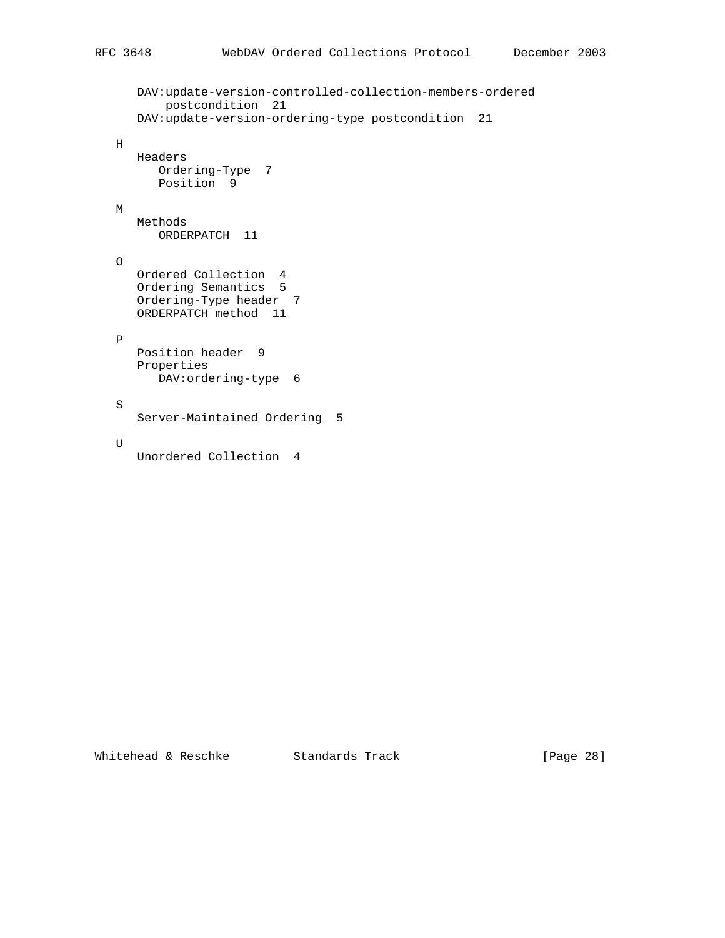```
 DAV:update-version-controlled-collection-members-ordered
        postcondition 21
    DAV:update-version-ordering-type postcondition 21
\, H \, Headers
     Ordering-Type 7
      Position 9
 M
   Methods
     ORDERPATCH 11
 O
   Ordered Collection 4
   Ordering Semantics 5
   Ordering-Type header 7
    ORDERPATCH method 11
 P
   Position header 9
    Properties
      DAV:ordering-type 6
 S
    Server-Maintained Ordering 5
 U
    Unordered Collection 4
```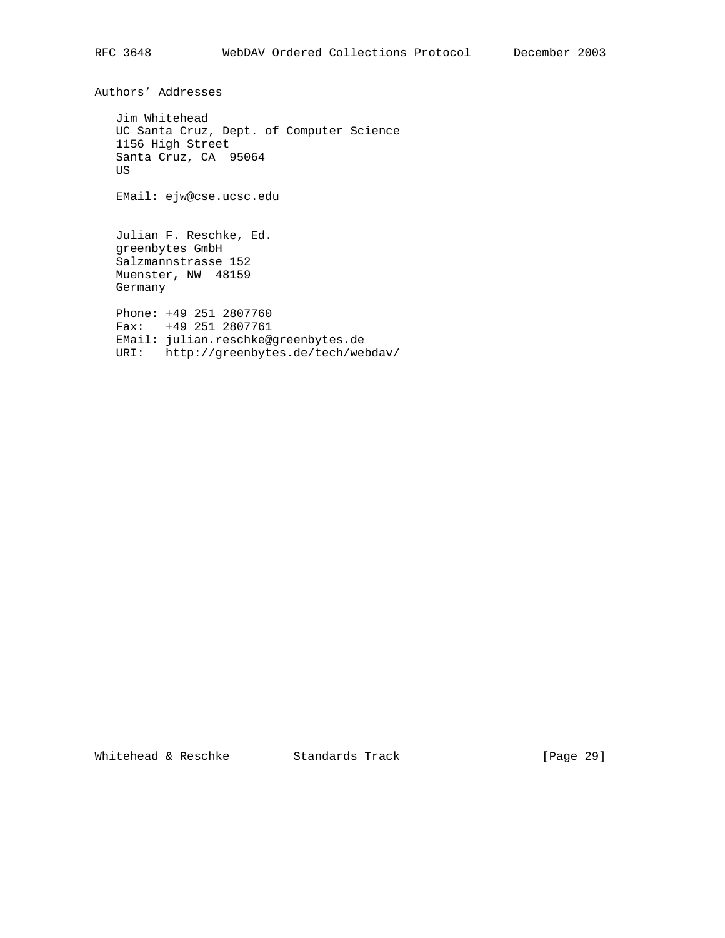Authors' Addresses

 Jim Whitehead UC Santa Cruz, Dept. of Computer Science 1156 High Street Santa Cruz, CA 95064 US

EMail: ejw@cse.ucsc.edu

 Julian F. Reschke, Ed. greenbytes GmbH Salzmannstrasse 152 Muenster, NW 48159 Germany Phone: +49 251 2807760

 Fax: +49 251 2807761 EMail: julian.reschke@greenbytes.de URI: http://greenbytes.de/tech/webdav/